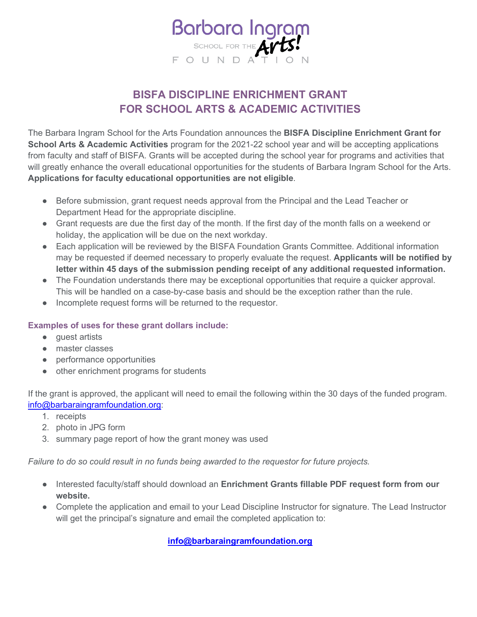

## **BISFA DISCIPLINE ENRICHMENT GRANT FOR SCHOOL ARTS & ACADEMIC ACTIVITIES**

The Barbara Ingram School for the Arts Foundation announces the **BISFA Discipline Enrichment Grant for School Arts & Academic Activities** program for the 2021-22 school year and will be accepting applications from faculty and staff of BISFA. Grants will be accepted during the school year for programs and activities that will greatly enhance the overall educational opportunities for the students of Barbara Ingram School for the Arts. **Applications for faculty educational opportunities are not eligible**.

- Before submission, grant request needs approval from the Principal and the Lead Teacher or Department Head for the appropriate discipline.
- Grant requests are due the first day of the month. If the first day of the month falls on a weekend or holiday, the application will be due on the next workday.
- Each application will be reviewed by the BISFA Foundation Grants Committee. Additional information may be requested if deemed necessary to properly evaluate the request. **Applicants will be notified by letter within 45 days of the submission pending receipt of any additional requested information.**
- The Foundation understands there may be exceptional opportunities that require a quicker approval. This will be handled on a case-by-case basis and should be the exception rather than the rule.
- Incomplete request forms will be returned to the requestor.

## **Examples of uses for these grant dollars include:**

- quest artists
- master classes
- performance opportunities
- other enrichment programs for students

If the grant is approved, the applicant will need to email the following within the 30 days of the funded program. [info@barbaraingramfoundation.org:](mailto:info@barbaraingramfoundation.org)

- 1. receipts
- 2. photo in JPG form
- 3. summary page report of how the grant money was used

*Failure to do so could result in no funds being awarded to the requestor for future projects.*

- Interested faculty/staff should download an **Enrichment Grants fillable PDF request form from our website.**
- Complete the application and email to your Lead Discipline Instructor for signature. The Lead Instructor will get the principal's signature and email the completed application to:

**[info@barbaraingramfoundation.org](mailto:info@barbaraingramfoundation.org)**